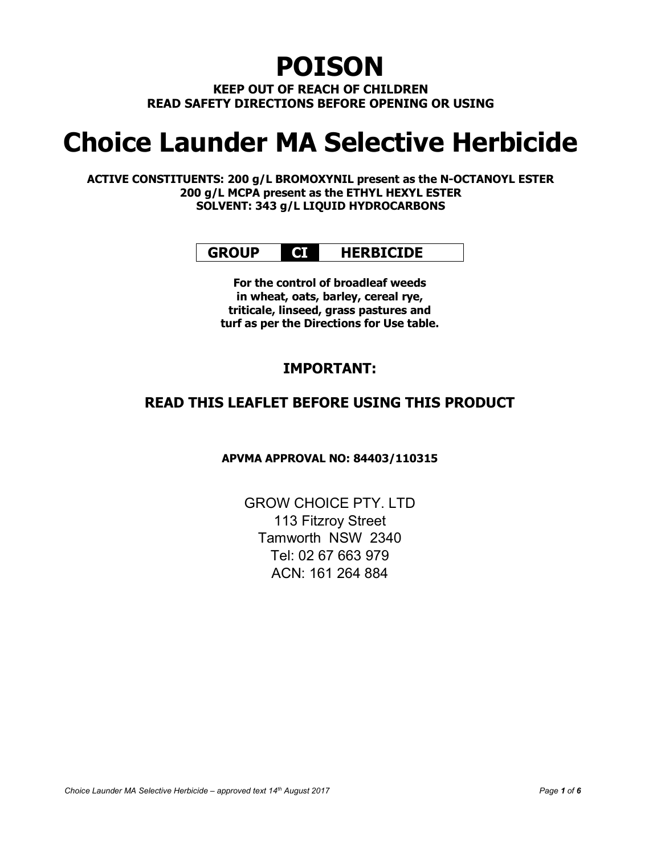## POISON

KEEP OUT OF REACH OF CHILDREN READ SAFETY DIRECTIONS BEFORE OPENING OR USING

# Choice Launder MA Selective Herbicide

ACTIVE CONSTITUENTS: 200 g/L BROMOXYNIL present as the N-OCTANOYL ESTER 200 g/L MCPA present as the ETHYL HEXYL ESTER SOLVENT: 343 g/L LIQUID HYDROCARBONS

## GROUP **QI** HERBICIDE

For the control of broadleaf weeds in wheat, oats, barley, cereal rye, triticale, linseed, grass pastures and turf as per the Directions for Use table.

## IMPORTANT:

## READ THIS LEAFLET BEFORE USING THIS PRODUCT

APVMA APPROVAL NO: 84403/110315

GROW CHOICE PTY. LTD 113 Fitzroy Street Tamworth NSW 2340 Tel: 02 67 663 979 ACN: 161 264 884

Choice Launder MA Selective Herbicide – approved text  $14<sup>th</sup>$  August 2017 **Page 1** of 6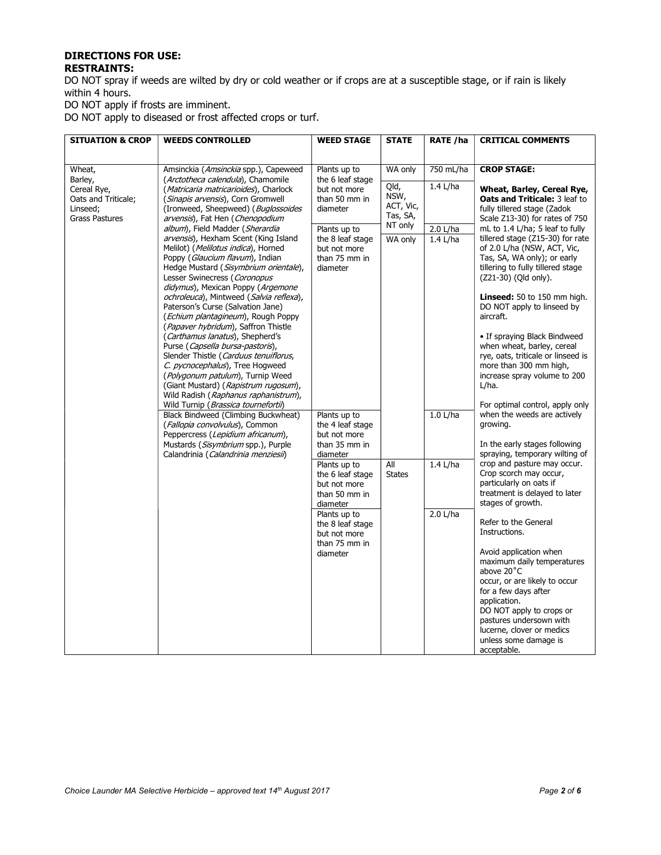#### DIRECTIONS FOR USE: RESTRAINTS:

DO NOT spray if weeds are wilted by dry or cold weather or if crops are at a susceptible stage, or if rain is likely within 4 hours.

DO NOT apply if frosts are imminent.

DO NOT apply to diseased or frost affected crops or turf.

| <b>SITUATION &amp; CROP</b>                                                        | <b>WEEDS CONTROLLED</b>                                                                                                                                                                                                                                                                                                                                                                                                                                                                                                                                                                                                                                                                                                                                                                                                                                                                                                                          | <b>WEED STAGE</b>                                                                                                                                                                                                                               | <b>STATE</b>                                                | RATE /ha                             | <b>CRITICAL COMMENTS</b>                                                                                                                                                                                                                                                                                                                                                                                                                                                                                                                                                                                                  |
|------------------------------------------------------------------------------------|--------------------------------------------------------------------------------------------------------------------------------------------------------------------------------------------------------------------------------------------------------------------------------------------------------------------------------------------------------------------------------------------------------------------------------------------------------------------------------------------------------------------------------------------------------------------------------------------------------------------------------------------------------------------------------------------------------------------------------------------------------------------------------------------------------------------------------------------------------------------------------------------------------------------------------------------------|-------------------------------------------------------------------------------------------------------------------------------------------------------------------------------------------------------------------------------------------------|-------------------------------------------------------------|--------------------------------------|---------------------------------------------------------------------------------------------------------------------------------------------------------------------------------------------------------------------------------------------------------------------------------------------------------------------------------------------------------------------------------------------------------------------------------------------------------------------------------------------------------------------------------------------------------------------------------------------------------------------------|
|                                                                                    |                                                                                                                                                                                                                                                                                                                                                                                                                                                                                                                                                                                                                                                                                                                                                                                                                                                                                                                                                  |                                                                                                                                                                                                                                                 |                                                             |                                      |                                                                                                                                                                                                                                                                                                                                                                                                                                                                                                                                                                                                                           |
| Wheat,                                                                             | Amsinckia (Amsinckia spp.), Capeweed                                                                                                                                                                                                                                                                                                                                                                                                                                                                                                                                                                                                                                                                                                                                                                                                                                                                                                             | Plants up to                                                                                                                                                                                                                                    | WA only                                                     | 750 mL/ha                            | <b>CROP STAGE:</b>                                                                                                                                                                                                                                                                                                                                                                                                                                                                                                                                                                                                        |
| Barley,<br>Cereal Rye,<br>Oats and Triticale;<br>Linseed:<br><b>Grass Pastures</b> | (Arctotheca calendula), Chamomile<br>( <i>Matricaria matricarioides</i> ), Charlock<br>(Sinapis arvensis), Corn Gromwell<br>(Ironweed, Sheepweed) (Buglossoides<br>arvensis), Fat Hen (Chenopodium<br>album), Field Madder (Sherardia<br>arvensis), Hexham Scent (King Island<br>Melilot) (Melilotus indica), Horned<br>Poppy (Glaucium flavum), Indian<br>Hedge Mustard (Sisymbrium orientale),<br>Lesser Swinecress (Coronopus<br>didymus), Mexican Poppy (Argemone<br>ochroleuca), Mintweed (Salvia reflexa),<br>Paterson's Curse (Salvation Jane)<br>(Echium plantagineum), Rough Poppy<br>(Papaver hybridum), Saffron Thistle<br>(Carthamus lanatus), Shepherd's<br>Purse (Capsella bursa-pastoris),<br>Slender Thistle (Carduus tenuiflorus,<br>C. pycnocephalus), Tree Hogweed<br>(Polygonum patulum), Turnip Weed<br>(Giant Mustard) (Rapistrum rugosum),<br>Wild Radish (Raphanus raphanistrum),<br>Wild Turnip (Brassica tournefortii) | the 6 leaf stage<br>but not more<br>than 50 mm in<br>diameter<br>Plants up to<br>the 8 leaf stage<br>but not more<br>than 75 mm in<br>diameter                                                                                                  | Qld,<br>NSW,<br>ACT, Vic,<br>Tas, SA,<br>NT only<br>WA only | $1.4$ L/ha<br>2.0 L/ha<br>$1.4$ L/ha | Wheat, Barley, Cereal Rye,<br>Oats and Triticale: 3 leaf to<br>fully tillered stage (Zadok<br>Scale Z13-30) for rates of 750<br>mL to 1.4 L/ha; 5 leaf to fully<br>tillered stage (Z15-30) for rate<br>of 2.0 L/ha (NSW, ACT, Vic,<br>Tas, SA, WA only); or early<br>tillering to fully tillered stage<br>(Z21-30) (Qld only).<br><b>Linseed:</b> 50 to 150 mm high.<br>DO NOT apply to linseed by<br>aircraft.<br>• If spraying Black Bindweed<br>when wheat, barley, cereal<br>rye, oats, triticale or linseed is<br>more than 300 mm high,<br>increase spray volume to 200<br>L/ha.<br>For optimal control, apply only |
|                                                                                    | Black Bindweed (Climbing Buckwheat)<br>(Fallopia convolvulus), Common<br>Peppercress (Lepidium africanum),<br>Mustards (Sisymbrium spp.), Purple<br>Calandrinia (Calandrinia menziesii)                                                                                                                                                                                                                                                                                                                                                                                                                                                                                                                                                                                                                                                                                                                                                          | Plants up to<br>the 4 leaf stage<br>but not more<br>than 35 mm in<br>diameter<br>Plants up to<br>the 6 leaf stage<br>but not more<br>than 50 mm in<br>diameter<br>Plants up to<br>the 8 leaf stage<br>but not more<br>than 75 mm in<br>diameter | All<br><b>States</b>                                        | 1.0 L/ha<br>1.4 L/ha<br>$2.0$ L/ha   | when the weeds are actively<br>growing.<br>In the early stages following<br>spraying, temporary wilting of<br>crop and pasture may occur.<br>Crop scorch may occur,<br>particularly on oats if<br>treatment is delayed to later<br>stages of growth.<br>Refer to the General<br>Instructions.<br>Avoid application when<br>maximum daily temperatures<br>above 20°C<br>occur, or are likely to occur<br>for a few days after<br>application.<br>DO NOT apply to crops or<br>pastures undersown with<br>lucerne, clover or medics<br>unless some damage is<br>acceptable.                                                  |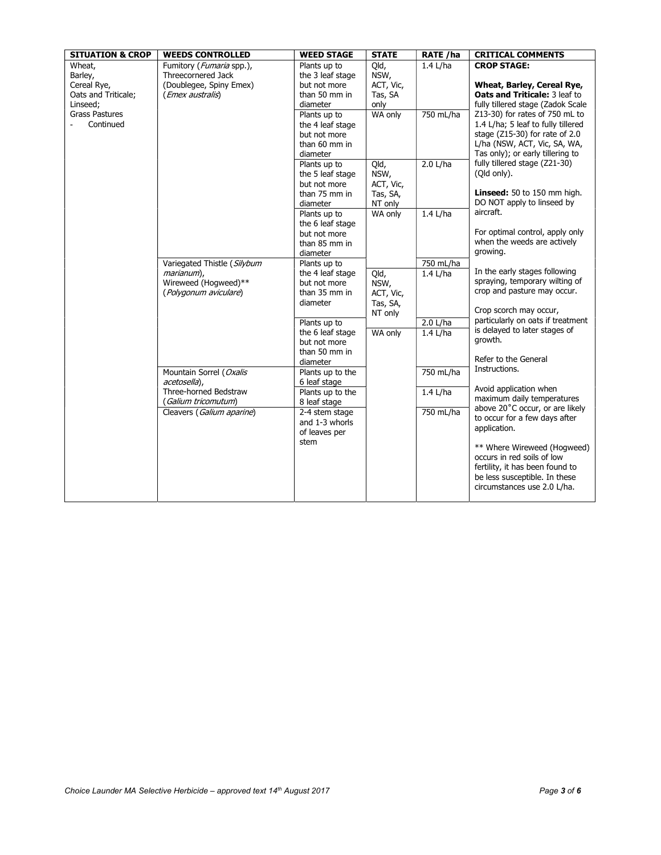| <b>SITUATION &amp; CROP</b> | <b>WEEDS CONTROLLED</b>     | <b>WEED STAGE</b> | <b>STATE</b> | <b>RATE /ha</b> | <b>CRITICAL COMMENTS</b>                                        |
|-----------------------------|-----------------------------|-------------------|--------------|-----------------|-----------------------------------------------------------------|
| Wheat,                      | Fumitory (Fumaria spp.),    | Plants up to      | Qld,         | $1.4$ L/ha      | <b>CROP STAGE:</b>                                              |
| Barley,                     | Threecornered Jack          | the 3 leaf stage  | NSW,         |                 |                                                                 |
| Cereal Rye,                 | (Doublegee, Spiny Emex)     | but not more      | ACT, Vic,    |                 | Wheat, Barley, Cereal Rye,                                      |
| Oats and Triticale;         | (Emex australis)            | than 50 mm in     | Tas, SA      |                 | Oats and Triticale: 3 leaf to                                   |
| Linseed;                    |                             | diameter          | only         |                 | fully tillered stage (Zadok Scale                               |
| <b>Grass Pastures</b>       |                             | Plants up to      | WA only      | 750 mL/ha       | Z13-30) for rates of 750 mL to                                  |
| Continued                   |                             | the 4 leaf stage  |              |                 | 1.4 L/ha; 5 leaf to fully tillered                              |
|                             |                             | but not more      |              |                 | stage (Z15-30) for rate of 2.0                                  |
|                             |                             | than 60 mm in     |              |                 | L/ha (NSW, ACT, Vic, SA, WA,                                    |
|                             |                             | diameter          |              |                 | Tas only); or early tillering to                                |
|                             |                             | Plants up to      | Qld,         | 2.0 L/ha        | fully tillered stage (Z21-30)                                   |
|                             |                             | the 5 leaf stage  | NSW,         |                 | (Qld only).                                                     |
|                             |                             | but not more      | ACT, Vic,    |                 |                                                                 |
|                             |                             | than 75 mm in     | Tas, SA,     |                 | Linseed: 50 to 150 mm high.                                     |
|                             |                             | diameter          | NT only      |                 | DO NOT apply to linseed by                                      |
|                             |                             | Plants up to      | WA only      | $1.4$ L/ha      | aircraft.                                                       |
|                             |                             | the 6 leaf stage  |              |                 |                                                                 |
|                             |                             | but not more      |              |                 | For optimal control, apply only                                 |
|                             |                             | than 85 mm in     |              |                 | when the weeds are actively                                     |
|                             |                             | diameter          |              |                 | growing.                                                        |
|                             | Variegated Thistle (Silybum | Plants up to      |              | $750$ mL/ha     |                                                                 |
|                             | marianum),                  | the 4 leaf stage  | Qld,         | $1.4$ L/ha      | In the early stages following<br>spraying, temporary wilting of |
|                             | Wireweed (Hogweed)**        | but not more      | NSW,         |                 | crop and pasture may occur.                                     |
|                             | (Polygonum aviculare)       | than 35 mm in     | ACT, Vic,    |                 |                                                                 |
|                             |                             | diameter          | Tas, SA,     |                 | Crop scorch may occur,                                          |
|                             |                             |                   | NT only      |                 | particularly on oats if treatment                               |
|                             |                             | Plants up to      |              | 2.0 L/ha        | is delayed to later stages of                                   |
|                             |                             | the 6 leaf stage  | WA only      | $1.4$ L/ha      | growth.                                                         |
|                             |                             | but not more      |              |                 |                                                                 |
|                             |                             | than 50 mm in     |              |                 | Refer to the General                                            |
|                             |                             | diameter          |              |                 | Instructions.                                                   |
|                             | Mountain Sorrel (Oxalis     | Plants up to the  |              | 750 mL/ha       |                                                                 |
|                             | acetosella).                | 6 leaf stage      |              |                 | Avoid application when                                          |
|                             | Three-horned Bedstraw       | Plants up to the  |              | $1.4$ L/ha      | maximum daily temperatures                                      |
|                             | ( Galium tricomutum)        | 8 leaf stage      |              |                 | above 20°C occur, or are likely                                 |
|                             | Cleavers (Galium aparine)   | 2-4 stem stage    |              | 750 mL/ha       | to occur for a few days after                                   |
|                             |                             | and 1-3 whorls    |              |                 | application.                                                    |
|                             |                             | of leaves per     |              |                 |                                                                 |
|                             |                             | stem              |              |                 | ** Where Wireweed (Hogweed)                                     |
|                             |                             |                   |              |                 | occurs in red soils of low                                      |
|                             |                             |                   |              |                 | fertility, it has been found to                                 |
|                             |                             |                   |              |                 | be less susceptible. In these                                   |
|                             |                             |                   |              |                 | circumstances use 2.0 L/ha.                                     |
|                             |                             |                   |              |                 |                                                                 |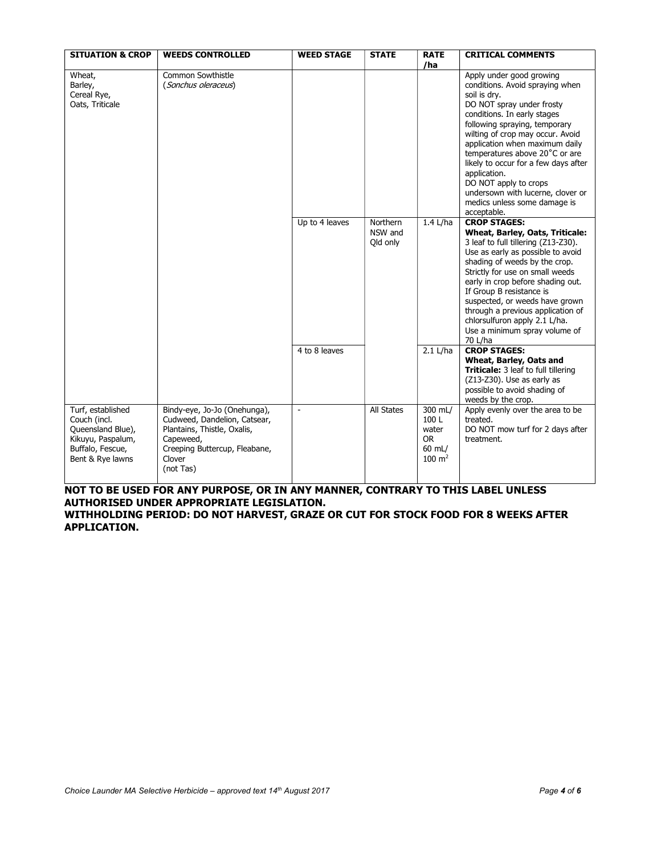| <b>SITUATION &amp; CROP</b>                                                                                         | <b>WEEDS CONTROLLED</b>                                                                                                                                          | <b>WEED STAGE</b> | <b>STATE</b>                    | <b>RATE</b><br>/ha                                                     | <b>CRITICAL COMMENTS</b>                                                                                                                                                                                                                                                                                                                                                                                                                              |
|---------------------------------------------------------------------------------------------------------------------|------------------------------------------------------------------------------------------------------------------------------------------------------------------|-------------------|---------------------------------|------------------------------------------------------------------------|-------------------------------------------------------------------------------------------------------------------------------------------------------------------------------------------------------------------------------------------------------------------------------------------------------------------------------------------------------------------------------------------------------------------------------------------------------|
| Wheat,<br>Barley,<br>Cereal Rye,<br>Oats, Triticale                                                                 | Common Sowthistle<br>(Sonchus oleraceus)                                                                                                                         |                   |                                 |                                                                        | Apply under good growing<br>conditions. Avoid spraying when<br>soil is dry.<br>DO NOT spray under frosty<br>conditions. In early stages<br>following spraying, temporary<br>wilting of crop may occur. Avoid<br>application when maximum daily<br>temperatures above 20°C or are<br>likely to occur for a few days after<br>application.<br>DO NOT apply to crops<br>undersown with lucerne, clover or<br>medics unless some damage is<br>acceptable. |
|                                                                                                                     |                                                                                                                                                                  | Up to 4 leaves    | Northern<br>NSW and<br>Old only | $1.4$ L/ha                                                             | <b>CROP STAGES:</b><br><b>Wheat, Barley, Oats, Triticale:</b><br>3 leaf to full tillering (Z13-Z30).<br>Use as early as possible to avoid<br>shading of weeds by the crop.<br>Strictly for use on small weeds<br>early in crop before shading out.<br>If Group B resistance is<br>suspected, or weeds have grown<br>through a previous application of<br>chlorsulfuron apply 2.1 L/ha.<br>Use a minimum spray volume of<br>70 L/ha                    |
|                                                                                                                     |                                                                                                                                                                  | 4 to 8 leaves     |                                 | 2.1 L/ha                                                               | <b>CROP STAGES:</b><br>Wheat, Barley, Oats and<br>Triticale: 3 leaf to full tillering<br>(Z13-Z30). Use as early as<br>possible to avoid shading of<br>weeds by the crop.                                                                                                                                                                                                                                                                             |
| Turf, established<br>Couch (incl.<br>Queensland Blue),<br>Kikuyu, Paspalum,<br>Buffalo, Fescue,<br>Bent & Rye lawns | Bindy-eye, Jo-Jo (Onehunga),<br>Cudweed, Dandelion, Catsear,<br>Plantains, Thistle, Oxalis,<br>Capeweed,<br>Creeping Buttercup, Fleabane,<br>Clover<br>(not Tas) |                   | <b>All States</b>               | 300 mL/<br>100L<br>water<br><b>OR</b><br>60 mL/<br>$100 \; \text{m}^2$ | Apply evenly over the area to be<br>treated.<br>DO NOT mow turf for 2 days after<br>treatment.                                                                                                                                                                                                                                                                                                                                                        |

### NOT TO BE USED FOR ANY PURPOSE, OR IN ANY MANNER, CONTRARY TO THIS LABEL UNLESS AUTHORISED UNDER APPROPRIATE LEGISLATION.

WITHHOLDING PERIOD: DO NOT HARVEST, GRAZE OR CUT FOR STOCK FOOD FOR 8 WEEKS AFTER APPLICATION.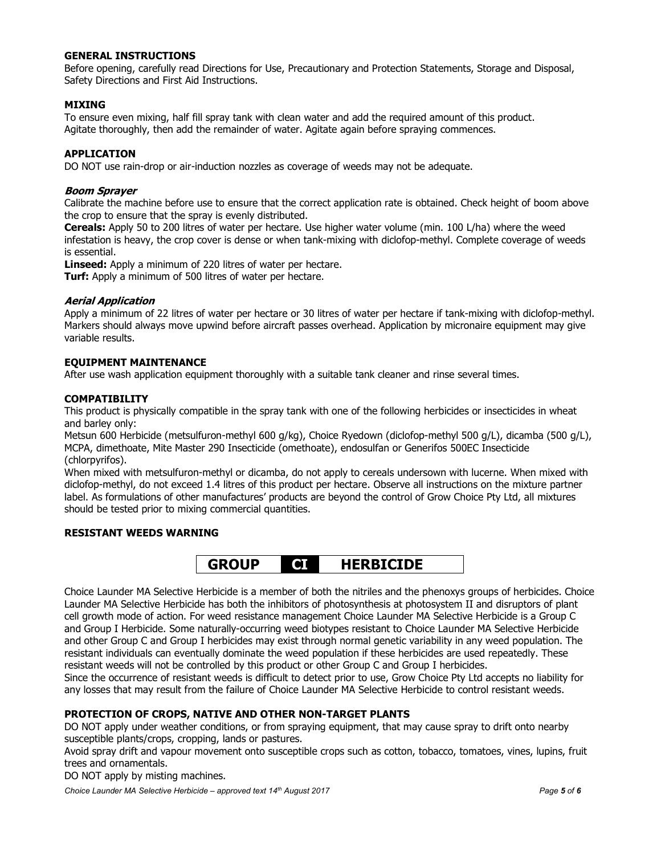#### GENERAL INSTRUCTIONS

Before opening, carefully read Directions for Use, Precautionary and Protection Statements, Storage and Disposal, Safety Directions and First Aid Instructions.

#### MIXING

To ensure even mixing, half fill spray tank with clean water and add the required amount of this product. Agitate thoroughly, then add the remainder of water. Agitate again before spraying commences.

#### APPLICATION

DO NOT use rain-drop or air-induction nozzles as coverage of weeds may not be adequate.

#### Boom Sprayer

Calibrate the machine before use to ensure that the correct application rate is obtained. Check height of boom above the crop to ensure that the spray is evenly distributed.

Cereals: Apply 50 to 200 litres of water per hectare. Use higher water volume (min. 100 L/ha) where the weed infestation is heavy, the crop cover is dense or when tank-mixing with diclofop-methyl. Complete coverage of weeds is essential.

Linseed: Apply a minimum of 220 litres of water per hectare.

**Turf:** Apply a minimum of 500 litres of water per hectare.

#### Aerial Application

Apply a minimum of 22 litres of water per hectare or 30 litres of water per hectare if tank-mixing with diclofop-methyl. Markers should always move upwind before aircraft passes overhead. Application by micronaire equipment may give variable results.

#### EQUIPMENT MAINTENANCE

After use wash application equipment thoroughly with a suitable tank cleaner and rinse several times.

#### **COMPATIBILITY**

This product is physically compatible in the spray tank with one of the following herbicides or insecticides in wheat and barley only:

Metsun 600 Herbicide (metsulfuron-methyl 600 g/kg), Choice Ryedown (diclofop-methyl 500 g/L), dicamba (500 g/L), MCPA, dimethoate, Mite Master 290 Insecticide (omethoate), endosulfan or Generifos 500EC Insecticide (chlorpyrifos).

When mixed with metsulfuron-methyl or dicamba, do not apply to cereals undersown with lucerne. When mixed with diclofop-methyl, do not exceed 1.4 litres of this product per hectare. Observe all instructions on the mixture partner label. As formulations of other manufactures' products are beyond the control of Grow Choice Pty Ltd, all mixtures should be tested prior to mixing commercial quantities.

#### RESISTANT WEEDS WARNING



Choice Launder MA Selective Herbicide is a member of both the nitriles and the phenoxys groups of herbicides. Choice Launder MA Selective Herbicide has both the inhibitors of photosynthesis at photosystem II and disruptors of plant cell growth mode of action. For weed resistance management Choice Launder MA Selective Herbicide is a Group C and Group I Herbicide. Some naturally-occurring weed biotypes resistant to Choice Launder MA Selective Herbicide and other Group C and Group I herbicides may exist through normal genetic variability in any weed population. The resistant individuals can eventually dominate the weed population if these herbicides are used repeatedly. These resistant weeds will not be controlled by this product or other Group C and Group I herbicides.

Since the occurrence of resistant weeds is difficult to detect prior to use, Grow Choice Pty Ltd accepts no liability for any losses that may result from the failure of Choice Launder MA Selective Herbicide to control resistant weeds.

#### PROTECTION OF CROPS, NATIVE AND OTHER NON-TARGET PLANTS

DO NOT apply under weather conditions, or from spraying equipment, that may cause spray to drift onto nearby susceptible plants/crops, cropping, lands or pastures.

Avoid spray drift and vapour movement onto susceptible crops such as cotton, tobacco, tomatoes, vines, lupins, fruit trees and ornamentals.

DO NOT apply by misting machines.

Choice Launder MA Selective Herbicide – approved text  $14<sup>th</sup>$  August 2017 Page 5 of 6